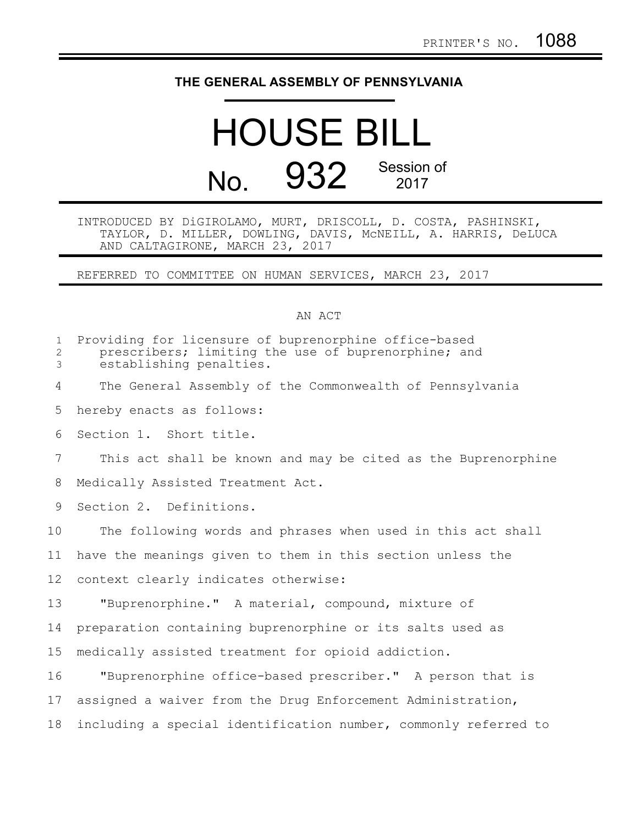## **THE GENERAL ASSEMBLY OF PENNSYLVANIA**

## HOUSE BILL No. 932 Session of

## INTRODUCED BY DiGIROLAMO, MURT, DRISCOLL, D. COSTA, PASHINSKI, TAYLOR, D. MILLER, DOWLING, DAVIS, McNEILL, A. HARRIS, DeLUCA AND CALTAGIRONE, MARCH 23, 2017

REFERRED TO COMMITTEE ON HUMAN SERVICES, MARCH 23, 2017

## AN ACT

| $\mathbf{1}$<br>$\overline{2}$<br>3 | Providing for licensure of buprenorphine office-based<br>prescribers; limiting the use of buprenorphine; and<br>establishing penalties. |
|-------------------------------------|-----------------------------------------------------------------------------------------------------------------------------------------|
| 4                                   | The General Assembly of the Commonwealth of Pennsylvania                                                                                |
| 5                                   | hereby enacts as follows:                                                                                                               |
| 6                                   | Section 1. Short title.                                                                                                                 |
| 7                                   | This act shall be known and may be cited as the Buprenorphine                                                                           |
| 8                                   | Medically Assisted Treatment Act.                                                                                                       |
| 9                                   | Section 2. Definitions.                                                                                                                 |
| 10                                  | The following words and phrases when used in this act shall                                                                             |
| 11                                  | have the meanings given to them in this section unless the                                                                              |
| 12                                  | context clearly indicates otherwise:                                                                                                    |
| 13                                  | "Buprenorphine." A material, compound, mixture of                                                                                       |
| 14                                  | preparation containing buprenorphine or its salts used as                                                                               |
| 15                                  | medically assisted treatment for opioid addiction.                                                                                      |
| 16                                  | "Buprenorphine office-based prescriber." A person that is                                                                               |
| 17                                  | assigned a waiver from the Drug Enforcement Administration,                                                                             |
| 18                                  | including a special identification number, commonly referred to                                                                         |
|                                     |                                                                                                                                         |